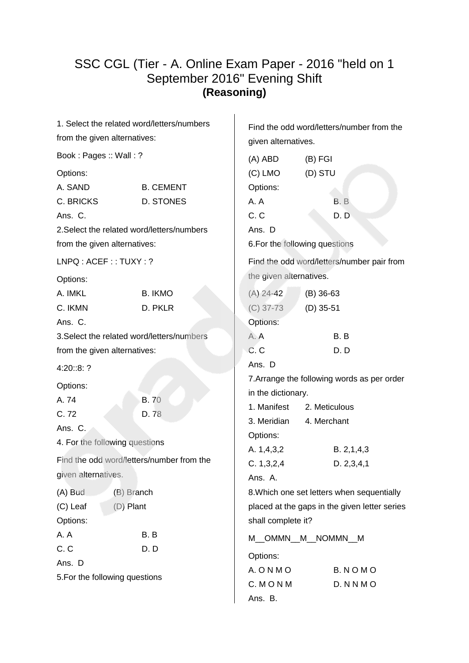### SSC CGL (Tier - A. Online Exam Paper - 2016 "held on 1 September 2016" Evening Shift **(Reasoning)**

| 1. Select the related word/letters/numbers |                  | Find the odd word/letters/number from the |                                               |  |
|--------------------------------------------|------------------|-------------------------------------------|-----------------------------------------------|--|
| from the given alternatives:               |                  | given alternatives.                       |                                               |  |
| Book: Pages: Wall: ?                       |                  | (A) ABD                                   | $(B)$ FGI                                     |  |
| Options:                                   |                  | $(C)$ LMO                                 | (D) STU                                       |  |
| A. SAND                                    | <b>B. CEMENT</b> | Options:                                  |                                               |  |
| C. BRICKS                                  | <b>D. STONES</b> | A.A                                       | B.B                                           |  |
| Ans. C.                                    |                  | C. C                                      | D.D                                           |  |
| 2. Select the related word/letters/numbers |                  | Ans. D                                    |                                               |  |
| from the given alternatives:               |                  |                                           | 6. For the following questions                |  |
| LNPQ: ACEF:: TUXY: ?                       |                  |                                           | Find the odd word/letters/number pair from    |  |
| Options:                                   |                  | the given alternatives.                   |                                               |  |
| A. IMKL                                    | <b>B. IKMO</b>   | $(A)$ 24-42                               | $(B)$ 36-63                                   |  |
| C. IKMN                                    | D. PKLR          | $(C)$ 37-73                               | $(D)$ 35-51                                   |  |
| Ans. C.                                    |                  | Options:                                  |                                               |  |
| 3. Select the related word/letters/numbers |                  | A.A                                       | B.B                                           |  |
| from the given alternatives:               |                  | C. C                                      | D.D                                           |  |
| 4:20::8:?                                  |                  | Ans. D                                    |                                               |  |
| Options:                                   |                  |                                           | 7. Arrange the following words as per order   |  |
| A.74                                       | <b>B.70</b>      | in the dictionary.                        |                                               |  |
| C.72                                       | D.78             | 1. Manifest                               | 2. Meticulous                                 |  |
| Ans. C.                                    |                  | 3. Meridian                               | 4. Merchant                                   |  |
| 4. For the following questions             |                  | Options:                                  |                                               |  |
| Find the odd word/letters/number from the  |                  | A. 1,4,3,2                                | B. 2, 1, 4, 3                                 |  |
| given alternatives.                        |                  | C. 1, 3, 2, 4                             | D. 2, 3, 4, 1                                 |  |
|                                            |                  | Ans. A.                                   |                                               |  |
| $(A)$ Bud<br>(B) Branch                    |                  |                                           | 8. Which one set letters when sequentially    |  |
| (C) Leaf<br>$(D)$ Plant                    |                  |                                           | placed at the gaps in the given letter series |  |
| Options:                                   |                  | shall complete it?                        |                                               |  |
| A. A                                       | B.B              |                                           | M_OMMN_M_NOMMN_M                              |  |
| C.C                                        | D.D              | Options:                                  |                                               |  |
| Ans. D                                     |                  | A. O N M O                                | B. NOMO                                       |  |
| 5. For the following questions             |                  | C. MONM                                   | D. N N M O                                    |  |
|                                            |                  | Ans. B.                                   |                                               |  |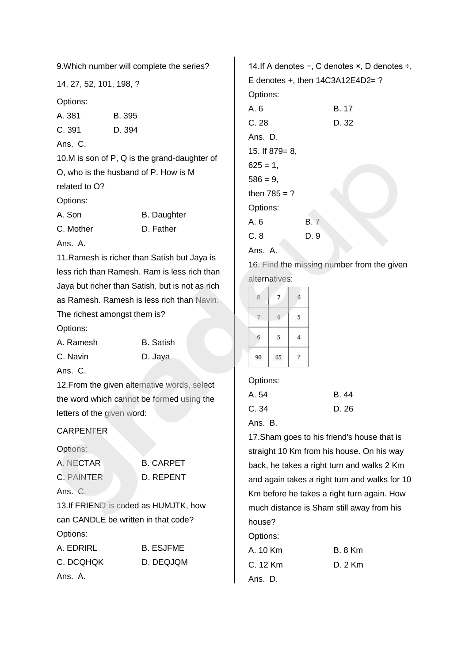9.Which number will complete the series?

14, 27, 52, 101, 198, ?

Options:

| A. 381        | B. 395                                       |
|---------------|----------------------------------------------|
| C.391         | D. 394                                       |
| Ans. $C$ .    |                                              |
|               | 10.M is son of P, Q is the grand-daughter of |
|               | O, who is the husband of P. How is M         |
| related to O? |                                              |
| Options:      |                                              |
| A. Son        | <b>B.</b> Daughter                           |
| C. Mother     | D. Father                                    |
| Ans. A.       |                                              |

11.Ramesh is richer than Satish but Jaya is less rich than Ramesh. Ram is less rich than Jaya but richer than Satish, but is not as rich as Ramesh. Ramesh is less rich than Navin. The richest amongst them is?

Options:

| A. Ramesh | <b>B.</b> Satish |
|-----------|------------------|
| C. Navin  | D. Java          |
| Ans. C.   |                  |

12. From the given alternative words, select the word which cannot be formed using the letters of the given word:

#### CARPENTER

Options:

| A. NECTAR         | <b>B. CARPET</b> |
|-------------------|------------------|
| <b>C. PAINTER</b> | D. REPENT        |
| Ans. C.           |                  |

13.If FRIEND is coded as HUMJTK, how can CANDLE be written in that code? Options:

| A. EDRIRL | <b>B. ESJFME</b> |
|-----------|------------------|
| C. DCQHQK | D. DEQJQM        |
| Ans. A.   |                  |

14.If A denotes −, C denotes ×, D denotes ÷, E denotes +, then 14C3A12E4D2= ? Options: A. 6 B. 17 C. 28 D. 32 Ans. D. 15. If 879= 8,  $625 = 1$ ,  $586 = 9$ , then  $785 = ?$ Options: A. 6 B. 7 C. 8 D. 9 Ans. A.

16. Find the missing number from the given alternatives:

| $\,$ 8 $\,$ |    | 6 |
|-------------|----|---|
|             | 6  | 5 |
| 6           | 5  |   |
| 90          | 65 |   |

Options:

| A. 54   | B. 44 |
|---------|-------|
| C.34    | D. 26 |
| Ans. B. |       |

17.Sham goes to his friend's house that is straight 10 Km from his house. On his way back, he takes a right turn and walks 2 Km and again takes a right turn and walks for 10

Km before he takes a right turn again. How much distance is Sham still away from his house?

Options:

| A. 10 Km | <b>B.</b> 8 Km |
|----------|----------------|
| C. 12 Km | $D.2$ Km       |
| Ans. D.  |                |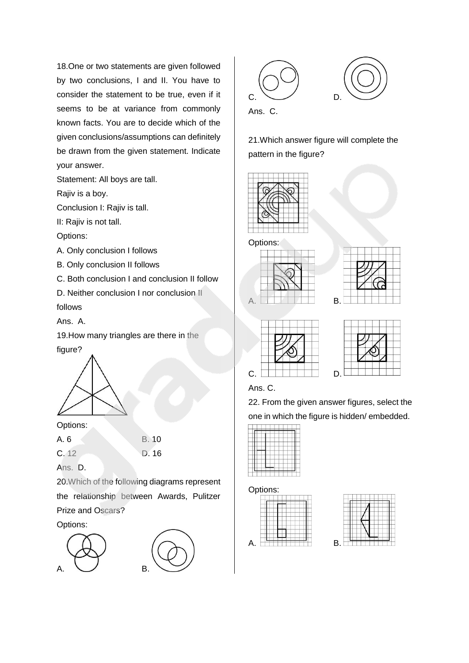18.One or two statements are given followed by two conclusions, I and II. You have to consider the statement to be true, even if it seems to be at variance from commonly known facts. You are to decide which of the given conclusions/assumptions can definitely be drawn from the given statement. Indicate your answer.

Statement: All boys are tall.

Rajiv is a boy.

Conclusion I: Rajiv is tall.

II: Rajiv is not tall.

Options:

A. Only conclusion I follows

B. Only conclusion II follows

C. Both conclusion I and conclusion II follow

D. Neither conclusion I nor conclusion II follows

Ans. A.

19.How many triangles are there in the figure?



Options:

| A. 6    | <b>B.</b> 10 |
|---------|--------------|
| C.12    | D. 16        |
| Ans. D. |              |

20.Which of the following diagrams represent the relationship between Awards, Pulitzer Prize and Oscars?

Options:





21.Which answer figure will complete the pattern in the figure?



Options:









Ans. C.

22. From the given answer figures, select the one in which the figure is hidden/ embedded.

Options:



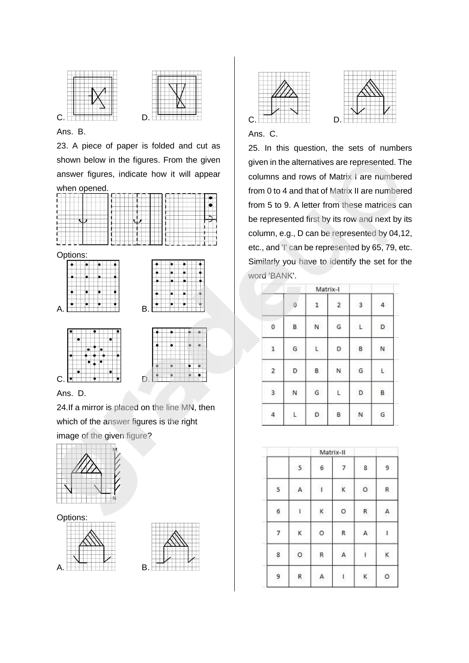



### Ans. B.

23. A piece of paper is folded and cut as shown below in the figures. From the given answer figures, indicate how it will appear



#### Ans. D.

24.If a mirror is placed on the line MN, then which of the answer figures is the right image of the given figure?



#### Options:









#### Ans. C.

25. In this question, the sets of numbers given in the alternatives are represented. The columns and rows of Matrix I are numbered from 0 to 4 and that of Matrix II are numbered from 5 to 9. A letter from these matrices can be represented first by its row and next by its column, e.g., D can be represented by 04,12, etc., and 'I' can be represented by 65, 79, etc. Similarly you have to identify the set for the word 'BANK'.

|              |              |              | Matrix-I |                         |    |
|--------------|--------------|--------------|----------|-------------------------|----|
|              | 0            | $\mathbf{1}$ | 2        | $\overline{\mathbf{3}}$ | 4  |
| 0            | B            | N            | G        | $\mathsf{L}$            | D  |
| $\mathbf{1}$ | G            | L            | D        | B                       | N  |
| 2            | D            | 8            | Ν        | G                       | L. |
| 3            | N            | G            | L        | D                       | B  |
| $\ddot{a}$   | $\mathsf{L}$ | D            | B        | N                       | G  |

|   | Matrix-II |           |              |                                                                                                                              |   |  |  |
|---|-----------|-----------|--------------|------------------------------------------------------------------------------------------------------------------------------|---|--|--|
|   | 5         | 6         | 7            | 8                                                                                                                            | 9 |  |  |
| 5 | А         | $\bar{1}$ | K            | $\circ$                                                                                                                      | R |  |  |
| 6 | L         | K         | $\circ$      | $\mathsf{R}$                                                                                                                 | A |  |  |
| 7 | к         | O         | R            | $\mathsf{A}$                                                                                                                 | 4 |  |  |
| 8 | O         | R         | A            | $\mathsf{L}% _{\mathcal{A}}\left( \mathcal{A}_{1}\right) ^{\ast }=\mathcal{A}_{2}^{1}\left( \mathcal{A}_{2}\right) ^{\ast }$ | K |  |  |
| 9 | R.        | А         | $\mathbf{I}$ | $\,$ K                                                                                                                       | O |  |  |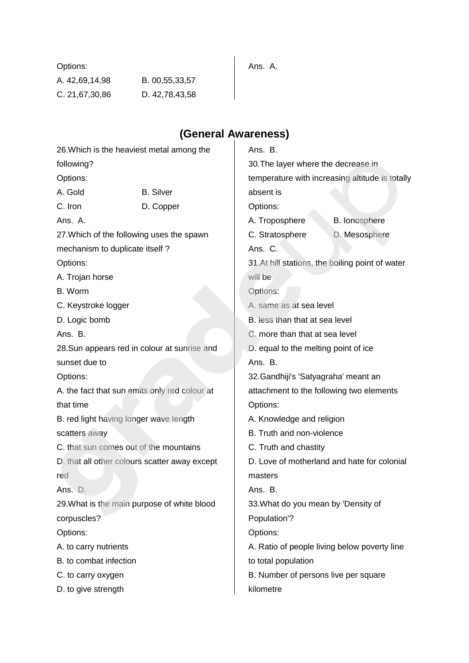| Options:       |                |
|----------------|----------------|
| A. 42,69,14,98 | B. 00,55,33,57 |
| C. 21,67,30,86 | D. 42,78,43,58 |

# **(General Awareness)**

Ans. A.

| 26. Which is the heaviest metal among the     |                  | Ans. B.                                  |                                                 |
|-----------------------------------------------|------------------|------------------------------------------|-------------------------------------------------|
| following?                                    |                  | 30. The layer where the decrease in      |                                                 |
| Options:                                      |                  |                                          | temperature with increasing altitude is totally |
| A. Gold                                       | <b>B.</b> Silver | absent is                                |                                                 |
| C. Iron                                       | D. Copper        | Options:                                 |                                                 |
| Ans. A.                                       |                  | A. Troposphere                           | <b>B.</b> lonosphere                            |
| 27. Which of the following uses the spawn     |                  | C. Stratosphere                          | D. Mesosphere                                   |
| mechanism to duplicate itself?                |                  | Ans. C.                                  |                                                 |
| Options:                                      |                  |                                          | 31.At hill stations, the boiling point of water |
| A. Trojan horse                               |                  | will be                                  |                                                 |
| B. Worm                                       |                  | Options:                                 |                                                 |
| C. Keystroke logger                           |                  | A. same as at sea level                  |                                                 |
| D. Logic bomb                                 |                  | B. less than that at sea level           |                                                 |
| Ans. B.                                       |                  | C. more than that at sea level           |                                                 |
| 28. Sun appears red in colour at sunrise and  |                  | D. equal to the melting point of ice     |                                                 |
| sunset due to                                 |                  | Ans. B.                                  |                                                 |
| Options:                                      |                  | 32. Gandhiji's 'Satyagraha' meant an     |                                                 |
| A. the fact that sun emits only red colour at |                  | attachment to the following two elements |                                                 |
| that time                                     |                  | Options:                                 |                                                 |
| B. red light having longer wave length        |                  | A. Knowledge and religion                |                                                 |
| scatters away                                 |                  | B. Truth and non-violence                |                                                 |
| C. that sun comes out of the mountains        |                  | C. Truth and chastity                    |                                                 |
| D. that all other colours scatter away except |                  |                                          | D. Love of motherland and hate for colonial     |
| red                                           |                  | masters                                  |                                                 |
| Ans. D.                                       |                  | Ans. B.                                  |                                                 |
| 29. What is the main purpose of white blood   |                  | 33. What do you mean by 'Density of      |                                                 |
| corpuscles?                                   |                  | Population'?                             |                                                 |
| Options:                                      |                  | Options:                                 |                                                 |
| A. to carry nutrients                         |                  |                                          | A. Ratio of people living below poverty line    |
| B. to combat infection                        |                  | to total population                      |                                                 |
| C. to carry oxygen                            |                  | B. Number of persons live per square     |                                                 |
| D. to give strength                           |                  | kilometre                                |                                                 |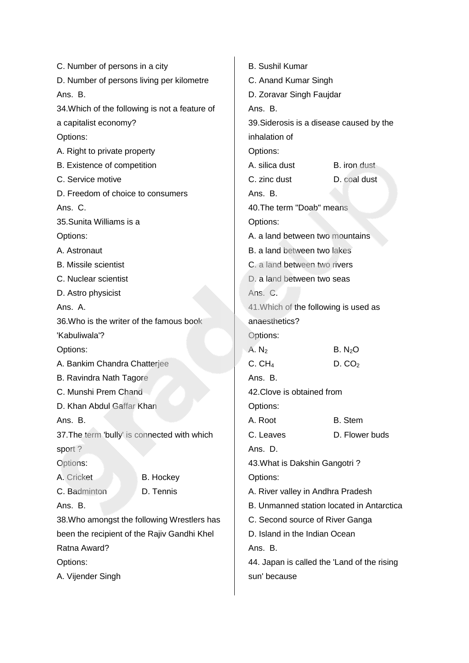C. Number of persons in a city D. Number of persons living per kilometre Ans. B. 34.Which of the following is not a feature of a capitalist economy? Options: A. Right to private property B. Existence of competition C. Service motive D. Freedom of choice to consumers Ans. C. 35.Sunita Williams is a Options: A. Astronaut B. Missile scientist C. Nuclear scientist D. Astro physicist Ans. A. 36.Who is the writer of the famous book 'Kabuliwala'? Options: A. Bankim Chandra Chatterjee B. Ravindra Nath Tagore C. Munshi Prem Chand D. Khan Abdul Gaffar Khan Ans. B. 37.The term 'bully' is connected with which sport ? Options: A. Cricket B. Hockey C. Badminton D. Tennis Ans. B. 38.Who amongst the following Wrestlers has been the recipient of the Rajiv Gandhi Khel Ratna Award? Options: A. Vijender Singh B. Sushil Kumar C. Anand Kumar Singh D. Zoravar Singh Faujdar Ans. B. 39.Siderosis is a disease caused by the inhalation of Options: A. silica dust **B.** iron dust C. zinc dust D. coal dust Ans. B. 40.The term "Doab" means Options: A. a land between two mountains B. a land between two lakes C. a land between two rivers D. a land between two seas Ans. C. 41.Which of the following is used as anaesthetics? Options: A. N<sub>2</sub> B. N<sub>2</sub>O  $C. CH<sub>4</sub>$  D.  $CO<sub>2</sub>$ Ans. B. 42.Clove is obtained from Options: A. Root B. Stem C. Leaves D. Flower buds Ans. D. 43.What is Dakshin Gangotri ? Options: A. River valley in Andhra Pradesh B. Unmanned station located in Antarctica C. Second source of River Ganga D. Island in the Indian Ocean Ans. B. 44. Japan is called the 'Land of the rising sun' because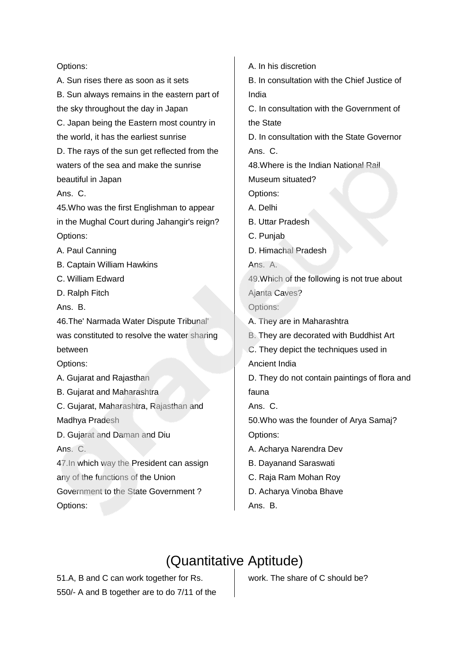#### Options:

A. Sun rises there as soon as it sets

B. Sun always remains in the eastern part of the sky throughout the day in Japan C. Japan being the Eastern most country in the world, it has the earliest sunrise D. The rays of the sun get reflected from the waters of the sea and make the sunrise beautiful in Japan Ans. C. 45.Who was the first Englishman to appear in the Mughal Court during Jahangir's reign? Options: A. Paul Canning B. Captain William Hawkins C. William Edward D. Ralph Fitch Ans. B. 46.The' Narmada Water Dispute Tribunal' was constituted to resolve the water sharing between Options: A. Gujarat and Rajasthan B. Gujarat and Maharashtra C. Gujarat, Maharashtra, Rajasthan and Madhya Pradesh D. Gujarat and Daman and Diu Ans. C. 47.In which way the President can assign any of the functions of the Union Government to the State Government ? Options:

A. In his discretion

B. In consultation with the Chief Justice of India

C. In consultation with the Government of the State

D. In consultation with the State Governor Ans. C.

48.Where is the Indian National Rail

Museum situated?

Options:

- A. Delhi
- B. Uttar Pradesh
- C. Punjab
- D. Himachal Pradesh

Ans. A.

49.Which of the following is not true about Ajanta Caves? Options:

- A. They are in Maharashtra
- B. They are decorated with Buddhist Art
- C. They depict the techniques used in

Ancient India

D. They do not contain paintings of flora and fauna

Ans. C.

50.Who was the founder of Arya Samaj? Options:

- A. Acharya Narendra Dev
- B. Dayanand Saraswati
- C. Raja Ram Mohan Roy
- D. Acharya Vinoba Bhave
- Ans. B.

## (Quantitative Aptitude)

51.A, B and C can work together for Rs. 550/- A and B together are to do 7/11 of the work. The share of C should be?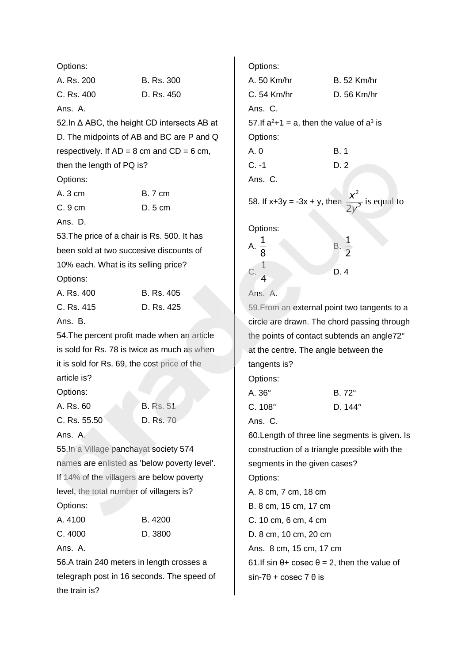Options: A. Rs. 200 B. Rs. 300 C. Rs. 400 D. Rs. 450 Ans. A. 52.In Δ ABC, the height CD intersects AB at D. The midpoints of AB and BC are P and Q respectively. If  $AD = 8$  cm and  $CD = 6$  cm, then the length of PQ is? Options: A. 3 cm B. 7 cm C. 9 cm D. 5 cm Ans. D. 53.The price of a chair is Rs. 500. It has been sold at two succesive discounts of 10% each. What is its selling price? Options: A. Rs. 400 B. Rs. 405 C. Rs. 415 D. Rs. 425 Ans. B. 54.The percent profit made when an article is sold for Rs. 78 is twice as much as when it is sold for Rs. 69, the cost price of the article is? Options: A. Rs. 60 B. Rs. 51 C. Rs. 55.50 D. Rs. 70 Ans. A. 55.In a Village panchayat society 574 names are enlisted as 'below poverty level'. If 14% of the villagers are below poverty level, the total number of villagers is? Options: A. 4100 B. 4200 C. 4000 D. 3800 Ans. A. 56.A train 240 meters in length crosses a telegraph post in 16 seconds. The speed of the train is?

Options: A. 50 Km/hr B. 52 Km/hr C. 54 Km/hr D. 56 Km/hr Ans. C. 57. If  $a^2+1 = a$ , then the value of  $a^3$  is Options: A. 0 B. 1 C. -1 D. 2 Ans. C. 58. If  $x+3y = -3x + y$ , then 2  $2y^2$ *x y* is equal to Options: A. 1 8 B. 1 2 C. 1 4 D. 4 Ans. A. 59.From an external point two tangents to a circle are drawn. The chord passing through the points of contact subtends an angle72° at the centre. The angle between the tangents is? Options: A. 36° B. 72° C. 108° D. 144° Ans. C. 60.Length of three line segments is given. Is construction of a triangle possible with the segments in the given cases? Options: A. 8 cm, 7 cm, 18 cm B. 8 cm, 15 cm, 17 cm C. 10 cm, 6 cm, 4 cm D. 8 cm, 10 cm, 20 cm Ans. 8 cm, 15 cm, 17 cm 61.If sin  $\theta$ + cosec  $\theta$  = 2, then the value of  $sin-7\theta + cosec 7 \theta$  is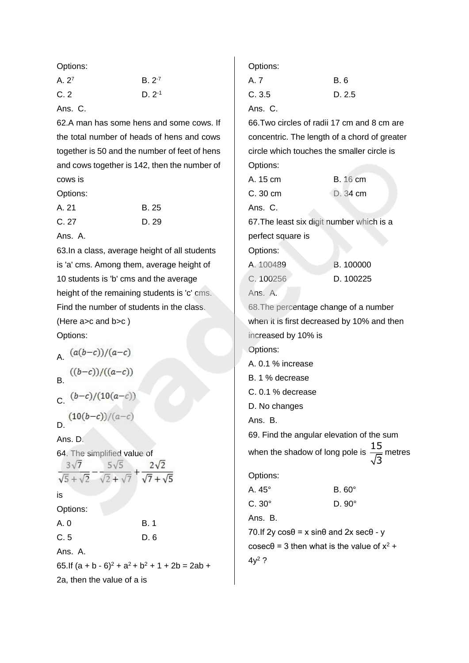Options:

| A. 2 <sup>7</sup> | $B. 2^{-7}$ |
|-------------------|-------------|
| C.2               | $D. 2-1$    |

Ans. C.

62.A man has some hens and some cows. If the total number of heads of hens and cows together is 50 and the number of feet of hens and cows together is 142, then the number of cows is

Options:

| A. 21 | B. 25 |
|-------|-------|
| C. 27 | D. 29 |

Ans. A.

63.In a class, average height of all students is 'a' cms. Among them, average height of 10 students is 'b' cms and the average height of the remaining students is 'c' cms. Find the number of students in the class. (Here a>c and b>c ) Options:

A  $(a(b-c))/(a-c)$  $((b-c))/((a-c))$ B.  $(b-c)/(10(a-c))$ 

$$
(10(b-c))/(a-c)
$$

Ans. D.

|                       | 64. The simplified value of |                                             |
|-----------------------|-----------------------------|---------------------------------------------|
| $3\sqrt{7}$           |                             | $2\sqrt{2}$                                 |
| $\sqrt{5} + \sqrt{2}$ |                             | $\sqrt{2} + \sqrt{7}$ $\sqrt{7} + \sqrt{5}$ |
| is                    |                             |                                             |

### Options:

| <b>B.1</b> |
|------------|
| D.6        |
|            |

Ans. A.

65.If  $(a + b - 6)^2 + a^2 + b^2 + 1 + 2b = 2ab +$ 2a, then the value of a is

#### Options:

| A. 7  | B. 6   |
|-------|--------|
| C.3.5 | D. 2.5 |
|       |        |

Ans. C.

66.Two circles of radii 17 cm and 8 cm are concentric. The length of a chord of greater circle which touches the smaller circle is Options:

| A. 15 cm | <b>B.</b> 16 cm |
|----------|-----------------|
| C.30cm   | D. 34 cm        |
| Ans. C.  |                 |

67.The least six digit number which is a perfect square is

Options:

| A. 100489 | B. 100000 |
|-----------|-----------|
| C. 100256 | D. 100225 |

Ans. A.

68.The percentage change of a number when it is first decreased by 10% and then increased by 10% is Options: A. 0.1 % increase B. 1 % decrease C. 0.1 % decrease D. No changes Ans. B. 69. Find the angular elevation of the sum when the shadow of long pole is  $\frac{15}{6}$ 3 metres

Options:

| A. 45°       | $B.60^\circ$     |
|--------------|------------------|
| $C.30^\circ$ | D. 90 $^{\circ}$ |

Ans. B.

70.If 2y cosθ = x sinθ and 2x secθ - y  $\csc\theta$  = 3 then what is the value of  $x^2$  +  $4v^2$  ?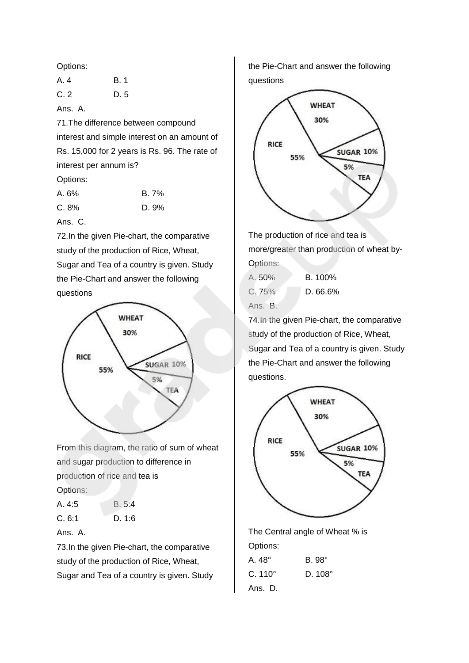Options:

| A. 4 | <b>B.1</b> |
|------|------------|
| C.2  | D. 5       |

Ans. A.

71.The difference between compound interest and simple interest on an amount of Rs. 15,000 for 2 years is Rs. 96. The rate of interest per annum is?

Options:

| A. 6% | B.7%  |
|-------|-------|
| C.8%  | D. 9% |

Ans. C.

72.In the given Pie-chart, the comparative study of the production of Rice, Wheat, Sugar and Tea of a country is given. Study the Pie-Chart and answer the following questions



From this diagram, the ratio of sum of wheat and sugar production to difference in production of rice and tea is Options:

| A. 4:5 | B. 5:4 |
|--------|--------|
| C.6:1  | D. 1:6 |



73.In the given Pie-chart, the comparative study of the production of Rice, Wheat, Sugar and Tea of a country is given. Study the Pie-Chart and answer the following questions



The production of rice and tea is more/greater than production of wheat by-Options:

| A. 50%  | B. 100%  |
|---------|----------|
| C.75%   | D. 66.6% |
| Ans. B. |          |

74.In the given Pie-chart, the comparative study of the production of Rice, Wheat, Sugar and Tea of a country is given. Study the Pie-Chart and answer the following questions.



The Central angle of Wheat % is Options: A. 48° B. 98° C. 110° D. 108° Ans. D.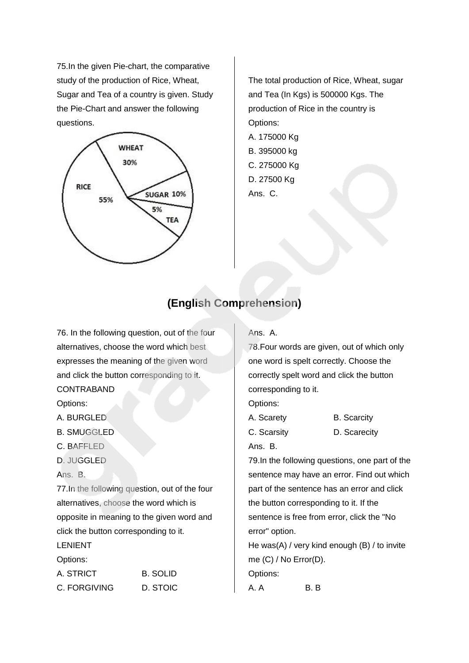75.In the given Pie-chart, the comparative study of the production of Rice, Wheat, Sugar and Tea of a country is given. Study the Pie-Chart and answer the following questions.



The total production of Rice, Wheat, sugar and Tea (In Kgs) is 500000 Kgs. The production of Rice in the country is Options: A. 175000 Kg B. 395000 kg C. 275000 Kg D. 27500 Kg

Ans. C.

### **(English Comprehension)**

76. In the following question, out of the four alternatives, choose the word which best expresses the meaning of the given word and click the button corresponding to it. CONTRABAND

Options:

- A. BURGLED
- B. SMUGGLED
- C. BAFFLED
- D. JUGGLED
- Ans. B.

77.In the following question, out of the four alternatives, choose the word which is opposite in meaning to the given word and click the button corresponding to it.

LENIENT

Options:

| A. STRICT    | B. SOLID |
|--------------|----------|
| C. FORGIVING | D. STOIC |

#### Ans. A.

78.Four words are given, out of which only one word is spelt correctly. Choose the correctly spelt word and click the button corresponding to it.

Options:

| A. Scarety  | <b>B.</b> Scarcity |
|-------------|--------------------|
| C. Scarsity | D. Scarecity       |
| Ans. B.     |                    |

79.In the following questions, one part of the sentence may have an error. Find out which part of the sentence has an error and click the button corresponding to it. If the sentence is free from error, click the "No error" option.

He was(A) / very kind enough (B) / to invite me (C) / No Error(D). Options:

A. A B. B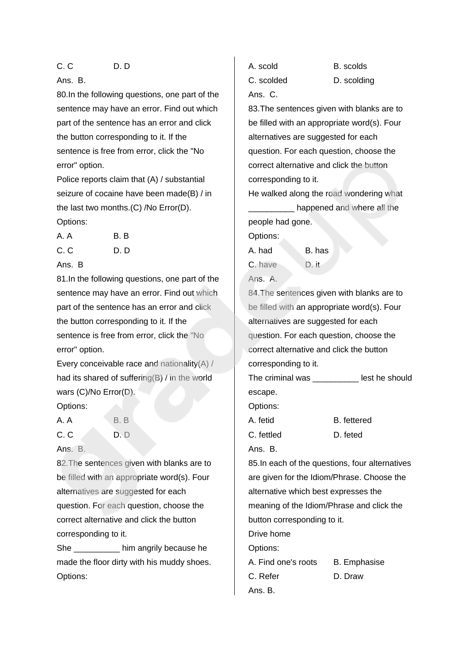#### C. C D. D

#### Ans. B.

80.In the following questions, one part of the sentence may have an error. Find out which part of the sentence has an error and click the button corresponding to it. If the sentence is free from error, click the "No error" option.

Police reports claim that (A) / substantial seizure of cocaine have been made(B) / in the last two months.(C) /No Error(D). Options:

| A. A | B. B |
|------|------|
| C.C  | D. D |

#### Ans. B

81.In the following questions, one part of the sentence may have an error. Find out which part of the sentence has an error and click the button corresponding to it. If the sentence is free from error, click the "No error" option.

Every conceivable race and nationality(A) / had its shared of suffering(B) / in the world wars (C)/No Error(D).

#### Options:

A. A B. B C. C D. D. D.

Ans. B.

82.The sentences given with blanks are to be filled with an appropriate word(s). Four alternatives are suggested for each question. For each question, choose the correct alternative and click the button corresponding to it.

She **She** him angrily because he made the floor dirty with his muddy shoes. Options:

C. scolded D. scolding Ans. C. 83.The sentences given with blanks are to be filled with an appropriate word(s). Four alternatives are suggested for each question. For each question, choose the correct alternative and click the button corresponding to it. He walked along the road wondering what

A. scold B. scolds

happened and where all the people had gone.

Options:

A. had B. has C. have D. it

Ans. A.

84.The sentences given with blanks are to be filled with an appropriate word(s). Four alternatives are suggested for each question. For each question, choose the correct alternative and click the button corresponding to it.

The criminal was **Example 1** lest he should escape.

Options:

A. fetid B. fettered

C. fettled D. feted

Ans. B.

85.In each of the questions, four alternatives are given for the Idiom/Phrase. Choose the alternative which best expresses the meaning of the Idiom/Phrase and click the button corresponding to it. Drive home Options: A. Find one's roots B. Emphasise C. Refer D. Draw

Ans. B.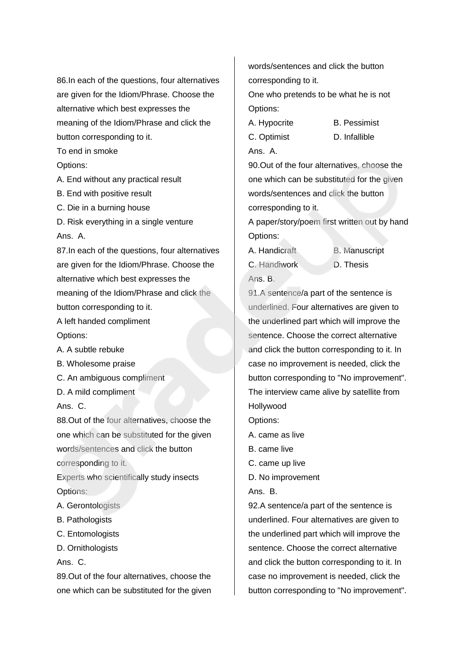86.In each of the questions, four alternatives are given for the Idiom/Phrase. Choose the alternative which best expresses the meaning of the Idiom/Phrase and click the button corresponding to it.

To end in smoke

Options:

A. End without any practical result

B. End with positive result

C. Die in a burning house

D. Risk everything in a single venture Ans. A.

87.In each of the questions, four alternatives are given for the Idiom/Phrase. Choose the alternative which best expresses the meaning of the Idiom/Phrase and click the button corresponding to it.

A left handed compliment Options:

- A. A subtle rebuke
- B. Wholesome praise
- C. An ambiguous compliment
- D. A mild compliment

Ans. C.

88.Out of the four alternatives, choose the one which can be substituted for the given words/sentences and click the button corresponding to it.

Experts who scientifically study insects Options:

- A. Gerontologists
- B. Pathologists
- C. Entomologists
- D. Ornithologists

Ans. C.

89.Out of the four alternatives, choose the one which can be substituted for the given words/sentences and click the button corresponding to it.

One who pretends to be what he is not Options:

- A. Hypocrite B. Pessimist
- C. Optimist D. Infallible Ans. A.

90.Out of the four alternatives, choose the one which can be substituted for the given words/sentences and click the button corresponding to it.

A paper/story/poem first written out by hand Options:

A. Handicraft **B. Manuscript** C. Handiwork D. Thesis Ans. B.

91.A sentence/a part of the sentence is underlined. Four alternatives are given to the underlined part which will improve the sentence. Choose the correct alternative and click the button corresponding to it. In case no improvement is needed, click the button corresponding to "No improvement". The interview came alive by satellite from Hollywood

Options:

- A. came as live
- B. came live
- C. came up live
- D. No improvement
- Ans. B.

92.A sentence/a part of the sentence is underlined. Four alternatives are given to the underlined part which will improve the sentence. Choose the correct alternative and click the button corresponding to it. In case no improvement is needed, click the button corresponding to "No improvement".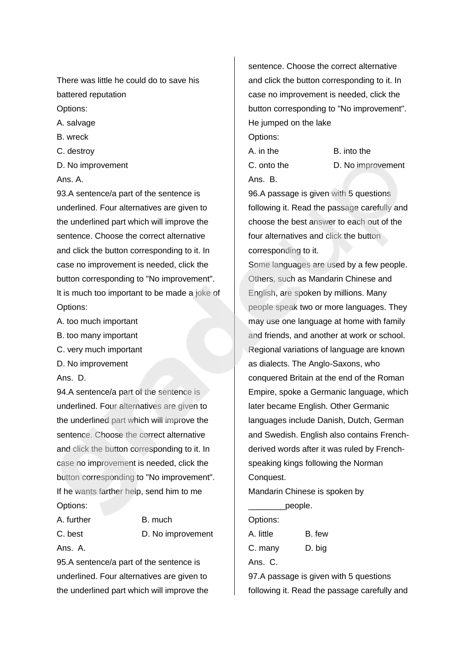There was little he could do to save his battered reputation

Options:

A. salvage

B. wreck

C. destroy

D. No improvement

Ans. A.

93.A sentence/a part of the sentence is underlined. Four alternatives are given to the underlined part which will improve the sentence. Choose the correct alternative and click the button corresponding to it. In case no improvement is needed, click the button corresponding to "No improvement". It is much too important to be made a joke of Options:

- A. too much important
- B. too many important
- C. very much important
- D. No improvement

Ans. D.

94.A sentence/a part of the sentence is underlined. Four alternatives are given to the underlined part which will improve the sentence. Choose the correct alternative and click the button corresponding to it. In case no improvement is needed, click the button corresponding to "No improvement". If he wants farther help, send him to me Options:

| B. much           |
|-------------------|
| D. No improvement |
|                   |
|                   |

95.A sentence/a part of the sentence is underlined. Four alternatives are given to the underlined part which will improve the sentence. Choose the correct alternative and click the button corresponding to it. In case no improvement is needed, click the button corresponding to "No improvement". He jumped on the lake

Options:

A. in the B. into the C. onto the D. No improvement Ans. B.

96.A passage is given with 5 questions following it. Read the passage carefully and choose the best answer to each out of the four alternatives and click the button corresponding to it.

Some languages are used by a few people. Others, such as Mandarin Chinese and English, are spoken by millions. Many people speak two or more languages. They may use one language at home with family and friends, and another at work or school. Regional variations of language are known as dialects. The Anglo-Saxons, who conquered Britain at the end of the Roman Empire, spoke a Germanic language, which later became English. Other Germanic languages include Danish, Dutch, German and Swedish. English also contains Frenchderived words after it was ruled by Frenchspeaking kings following the Norman Conquest.

Mandarin Chinese is spoken by

| people.   |                                        |
|-----------|----------------------------------------|
| Options:  |                                        |
| A. little | B. few                                 |
| C. many   | D. big                                 |
| Ans. C.   |                                        |
|           | 97.A passage is given with 5 questions |
|           |                                        |

following it. Read the passage carefully and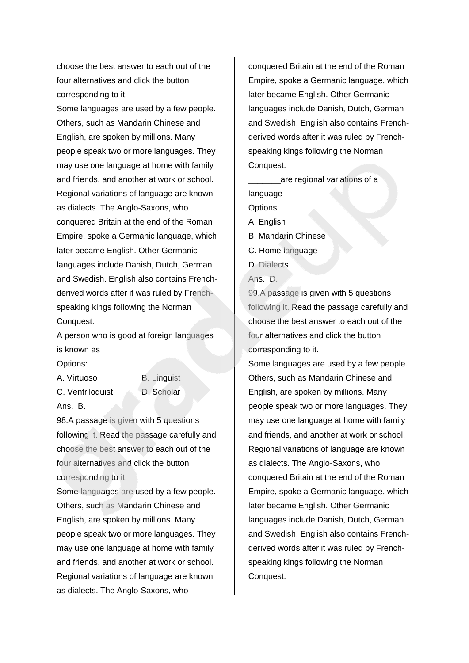choose the best answer to each out of the four alternatives and click the button corresponding to it.

Some languages are used by a few people. Others, such as Mandarin Chinese and English, are spoken by millions. Many people speak two or more languages. They may use one language at home with family and friends, and another at work or school. Regional variations of language are known as dialects. The Anglo-Saxons, who conquered Britain at the end of the Roman Empire, spoke a Germanic language, which later became English. Other Germanic languages include Danish, Dutch, German and Swedish. English also contains Frenchderived words after it was ruled by Frenchspeaking kings following the Norman Conquest.

A person who is good at foreign languages is known as

Options:

A. Virtuoso B. Linguist C. Ventriloquist D. Scholar Ans. B.

98.A passage is given with 5 questions following it. Read the passage carefully and choose the best answer to each out of the four alternatives and click the button corresponding to it.

Some languages are used by a few people. Others, such as Mandarin Chinese and English, are spoken by millions. Many people speak two or more languages. They may use one language at home with family and friends, and another at work or school. Regional variations of language are known as dialects. The Anglo-Saxons, who

conquered Britain at the end of the Roman Empire, spoke a Germanic language, which later became English. Other Germanic languages include Danish, Dutch, German and Swedish. English also contains Frenchderived words after it was ruled by Frenchspeaking kings following the Norman Conquest.

are regional variations of a language Options: A. English B. Mandarin Chinese C. Home language D. Dialects Ans. D.

99.A passage is given with 5 questions following it. Read the passage carefully and choose the best answer to each out of the four alternatives and click the button corresponding to it.

Some languages are used by a few people. Others, such as Mandarin Chinese and English, are spoken by millions. Many people speak two or more languages. They may use one language at home with family and friends, and another at work or school. Regional variations of language are known as dialects. The Anglo-Saxons, who conquered Britain at the end of the Roman Empire, spoke a Germanic language, which later became English. Other Germanic languages include Danish, Dutch, German and Swedish. English also contains Frenchderived words after it was ruled by Frenchspeaking kings following the Norman Conquest.